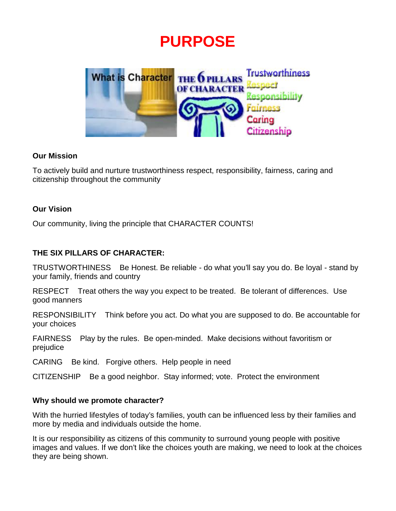# **PURPOSE**



#### **Our Mission**

To actively build and nurture trustworthiness respect, responsibility, fairness, caring and citizenship throughout the community

#### **Our Vision**

Our community, living the principle that CHARACTER COUNTS!

#### **THE SIX PILLARS OF CHARACTER:**

TRUSTWORTHINESS Be Honest. Be reliable - do what you'll say you do. Be loyal - stand by your family, friends and country

RESPECT Treat others the way you expect to be treated. Be tolerant of differences. Use good manners

RESPONSIBILITY Think before you act. Do what you are supposed to do. Be accountable for your choices

FAIRNESS Play by the rules. Be open-minded. Make decisions without favoritism or prejudice

CARING Be kind. Forgive others. Help people in need

CITIZENSHIP Be a good neighbor. Stay informed; vote. Protect the environment

#### **Why should we promote character?**

With the hurried lifestyles of today's families, youth can be influenced less by their families and more by media and individuals outside the home.

It is our responsibility as citizens of this community to surround young people with positive images and values. If we don't like the choices youth are making, we need to look at the choices they are being shown.